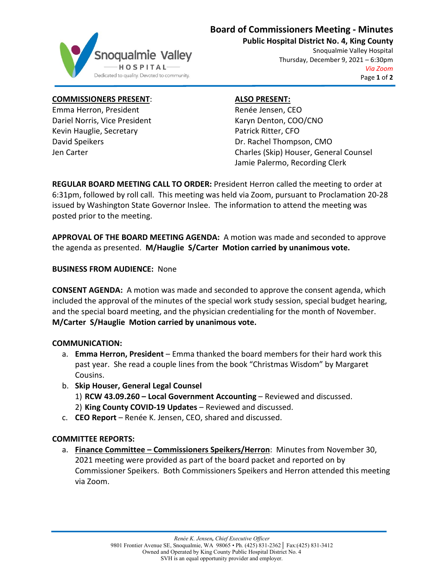# **Board of Commissioners Meeting - Minutes**



**Public Hospital District No. 4, King County**

Snoqualmie Valley Hospital Thursday, December 9, 2021 – 6:30pm *Via Zoom* Page **1** of **2**

#### **COMMISSIONERS PRESENT**:

Emma Herron, President Dariel Norris, Vice President Kevin Hauglie, Secretary David Speikers Jen Carter

## **ALSO PRESENT:**

Renée Jensen, CEO Karyn Denton, COO/CNO Patrick Ritter, CFO Dr. Rachel Thompson, CMO Charles (Skip) Houser, General Counsel Jamie Palermo, Recording Clerk

**REGULAR BOARD MEETING CALL TO ORDER:** President Herron called the meeting to order at 6:31pm, followed by roll call. This meeting was held via Zoom, pursuant to Proclamation 20-28 issued by Washington State Governor Inslee. The information to attend the meeting was posted prior to the meeting.

**APPROVAL OF THE BOARD MEETING AGENDA:** A motion was made and seconded to approve the agenda as presented. **M/Hauglie S/Carter Motion carried by unanimous vote.**

## **BUSINESS FROM AUDIENCE:** None

**CONSENT AGENDA:** A motion was made and seconded to approve the consent agenda, which included the approval of the minutes of the special work study session, special budget hearing, and the special board meeting, and the physician credentialing for the month of November. **M/Carter S/Hauglie Motion carried by unanimous vote.**

#### **COMMUNICATION:**

- a. **Emma Herron, President** Emma thanked the board members for their hard work this past year. She read a couple lines from the book "Christmas Wisdom" by Margaret Cousins.
- b. **Skip Houser, General Legal Counsel** 1) **RCW 43.09.260 – Local Government Accounting** – Reviewed and discussed. 2) **King County COVID-19 Updates** – Reviewed and discussed.
- c. **CEO Report** Renée K. Jensen, CEO, shared and discussed.

## **COMMITTEE REPORTS:**

a. **Finance Committee – Commissioners Speikers/Herron**: Minutes from November 30, 2021 meeting were provided as part of the board packet and reported on by Commissioner Speikers. Both Commissioners Speikers and Herron attended this meeting via Zoom.